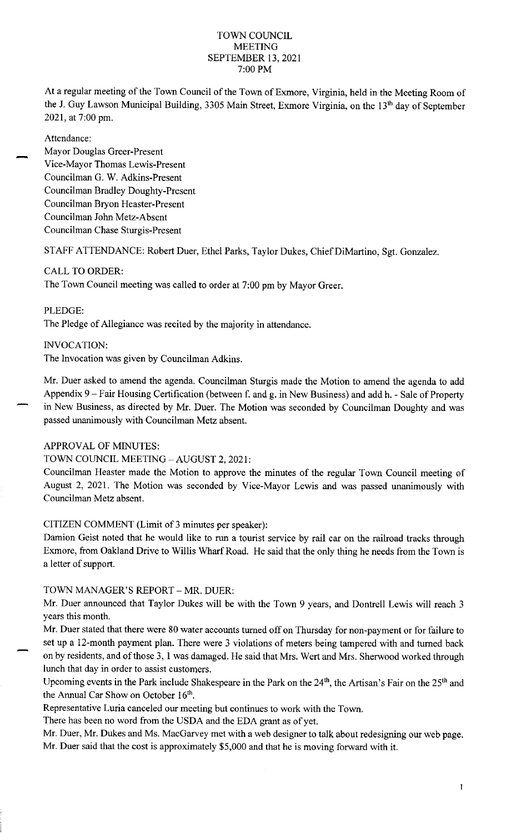#### TOWN COUNCIL MEETING SEPTEMBER 13, 2021 7:00 PM

At a regular meeting of the Town Council of the Town of Exmore, Virginia, held in the Meeting Room of the J. Guy Lawson Municipal Building, 3305 Main Street, Exmore Virginia, on the 13'h day of September 2021, at 7:00 pm.

Attendance:

Mayor Douglas Greer-Present Vice-Mayor Thomas Lewis-Present Councilman G. W. Adkins-Present Councilman Bradley Doughty-Present Councilman Bryon Heaster-Present Councilman John Metz-Absent Councilman Chase Sturgis-Present

STAFF ATTENDANCE: Robert Duer, Ethel Parks, Taylor Dukes, Chief DiMartino, Sgt. Gonzalez.

# CALL TO ORDER:

The Town Council meeting was called to order at 7:00 pm by Mayor Greer.

PLEDGE:

The Pledge of Allegiance was recited by the majority in attendance.

INVOCATION:

The Invocation was given by Councilman Adkins.

Mr. Duer asked to amend the agenda. Councilman Sturgis made the Motion to amend the agenda to add Appendix 9 - Fair Housing Certification (between f. and g. in New Business) and add h. - Sale of Property in New Business, as directed by Mr. Duer. The Motion was seconded by Councilman Doughty and was passed unanimously with Councilman Metz absent.

## APPROVAL OF MINUTES:

# TOWN COUNCIL MEETING - AUGUST 2, 2021:

Councilman Heaster made the Motion to approve the minutes of the regular Town Council meeting of August 2, 2021. The Motion was seconded by Vice-Mayor Lewis and was passed unanimously with Councilman Metz absent.

CITIZEN COMMENT (Limit of 3 minutes per speaker):

Damion Geist noted that he would like to run a tourist service by rail car on the railroad tracks through Exmore, from Oakland Drive to Willis Wharf Road. He said that the only thing he needs from the Town is a letter of support.

# TOWN MANAGER'S REPORT - MR. DUER:

Mr. Duer announced that Taylor Dukes will be with the Town 9 years, and Dontrell Lewis will reach 3 years this month.

Mr. Duer stated that there were 80 water accounts turned off on Thursday for non-payment or for failure to set up a 12-month payment plan. There were 3 violations of meters being tampered with and turned back on by residents, and of those 3, <sup>1</sup>was damaged. He said that Mrs. Wert and Mrs. Sherwood worked through lunch that day in order to assist customers.

Upcoming events in the Park include Shakespeare in the Park on the 24<sup>th</sup>, the Artisan's Fair on the 25<sup>th</sup> and the Annual Car Show on October  $16<sup>th</sup>$ .

Representative Luria canceled our meeting but continues to work with the Town.

There has been no word from the USDA and the EDA grant as of yet.

Mr. Duer, Mr. Dukes and Ms. MacGarvey met with a web designer to talk about redesigning our web page. Mr. Duer said that the cost is approximately \$5,000 and that he is moving forward with it.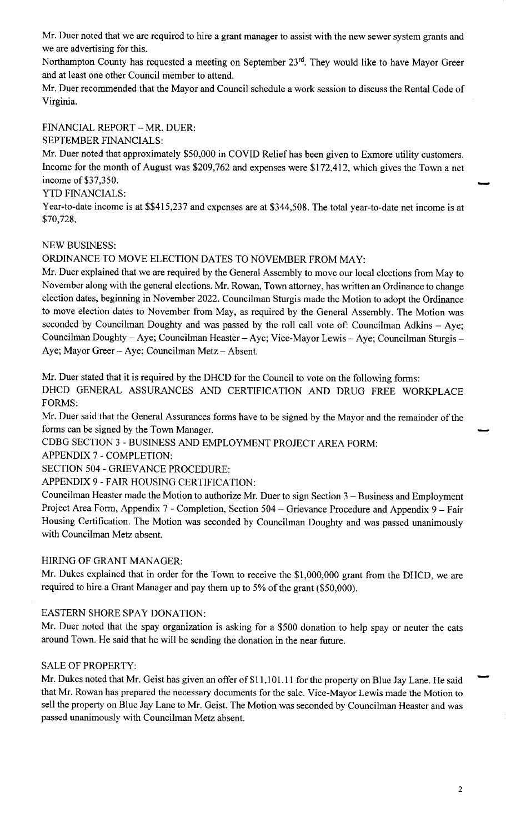Mr. Duer noted that we are required to hire a grant manager to assist with the new sewer system grants and we are advertising for this.

Northampton County has requested a meeting on September 23<sup>rd</sup>. They would like to have Mayor Greer and at least one other Council member to attend.

Mr. Duer recommended that the Mayor and Council schedule a work session to discuss the Rental Code of Virginia.

FINANCIAL REPORT - MR. DUER:

SEPTEMBER FINANCIALS:

Mr. Duer noted that approximately \$50,000 in COVID Relief has been given to Exmore utility customers. Income for the month of August was \$209,762 and expenses were \$172,412, which gives the Town a net income of \$37,350.

# YTD FINANCIALS:

Year-to-date income is at \$\$415,237 and expenses are at \$344,508. The total year-to-date net income is at \$70,728.

## NEW BUSINESS:

ORDINANCE TO MOVE ELECTION DATES TO NOVEMBER FROM MAY:

Mr. Duer explained that we are required by the General Assembly to move our local elections from May to November along with the general elections. Mr. Rowan, Town attorney, has written an Ordinance to change election dates, beginning in November 2022. Councilman Sturgis made the Motion to adopt the Ordinance to move election dates to November from May, as required by the General Assembly. The Motion was seconded by Councilman Doughty and was passed by the roll call vote of: Councilman Adkins - Aye; Councilman Doughty - Aye; Councilman Heaster - Aye; Vice-Mayor Lewis - Aye; Councilman Sturgis -Aye; Mayor Greer - Aye; Councilman Metz - Absent.

Mr. Duer stated that it is required by the DHCD for the Council to vote on the following forms:

DHCD GENERAL ASSURANCES AND CERTIFICATION AND DRUG FREE WORKPLACE FORMS:

Mr. Duer said that the General Assurances forms have to be signed by the Mayor and the remainder of the Forthers.<br>Mr. Duer said that the General Assurances forms have to be signed by the Mayor and the remainder of the  $\sim$ 

CDBG SECTION 3 - BUSINESS AND EMPLOYMENT PROJECT AREA FORM:

APPENDIX 7 - COMPLETION:

SECTION 504 - GRIEVANCE PROCEDURE:

APPENDIX 9 - FAIR HOUSING CERTIFICATION:

Councilman Heaster made the Motion to authorize Mr. Duer to sign Section 3 - Business and Employment Project Area Form, Appendix 7 - Completion, Section 504 - Grievance Procedure and Appendix 9 - Fair Housing Certification. The Motion was seconded by Councilman Doughty and was passed unanimously with Councilman Metz absent.

## HIRING OF GRANT MANAGER:

Mr. Dukes explained that in order for the Town to receive the \$1,000,000 grant from the DHCD, we are required to hire a Grant Manager and pay them up to 5% of the grant (\$50,000).

## EASTERN SHORE SPAY DONATION:

Mr. Duer noted that the spay organization is asking for a \$500 donation to help spay or neuter the cats around Town. He said that he will be sending the donation in the near future.

#### SALE OF PROPERTY:

Mr. Dukes noted that Mr. Geist has given an offer of \$11,101.11 for the property on Blue Jay Lane. He said that Mr. Rowan has prepared the necessary documents for the sale. Vice-Mayor Lewis made the Motion to sell the property on Blue Jay Lane to Mr. Geist. The Motion was seconded by Councilman Heaster and was passed unanimously with Councilman Metz absent.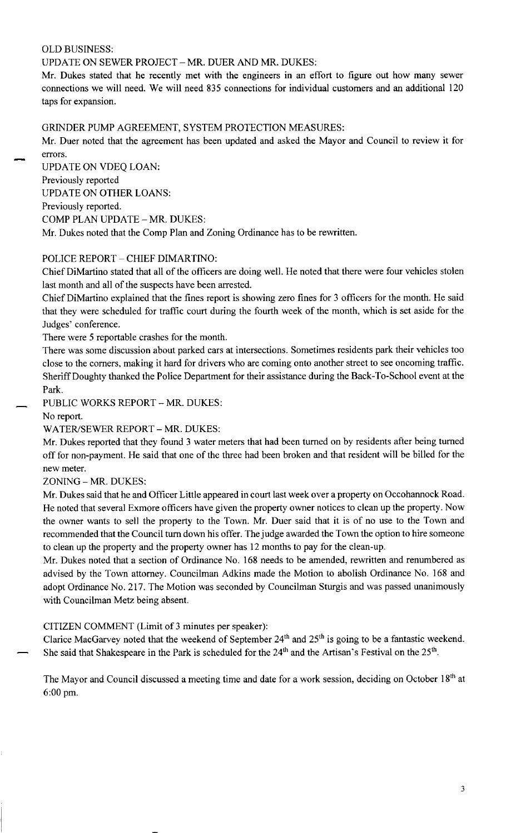#### OLD BUSINESS:

#### UPDATE ON SEWER PROJECT - MR. DUER AND MR. DUKES:

Mr. Dukes stated that he recently met with the engineers in an effort to figure out how many sewer connections we will need. We will need 835 connections for individual customers and an additional 120 taps for expansion.

GRINDER PUMP AGREEMENT, SYSTEM PROTECTION MEASURES:

Mr. Duer noted that the agreement has been updated and asked the Mayor and Council to review it for errors.

UPDATE ON VDEQ LOAN: Previously reported UPDATE ON OTHER LOANS: Previously reported. COMP PLAN UPDATE - MR. DUKES: Mr. Dukes noted that the Comp Plan and Zoning Ordinance has to be rewritten.

## POLICE REPORT - CHIEF DIMARTINO:

Chief DiMartino stated that all of the officers are doing well. He noted that there were four vehicles stolen last month and all of the suspects have been arrested.

Chief DiMartino explained that the fines report is showing zero fines for 3 officers for the month. He said that they were scheduled for traffic court during the fourth week of the month, which is set aside for the Judges' conference.

There were 5 reportable crashes for the month.

There was some discussion about parked cars at intersections. Sometimes residents park their vehicles too close to the corners, making it hard for drivers who are coming onto another street to see oncoming traffic. Sheriff Doughty thanked the Police Department for their assistance during the Back-To-School event at the Park.

PUBLIC WORKS REPORT - MR. DUKES:

No report.

WATER/SEWER REPORT - MR. DUKES:

Mr. Dukes reported that they found 3 water meters that had been turned on by residents after being turned off for non-payment. He said that one of the three had been broken and that resident will be billed for the new meter.

ZONING - MR. DUKES:

Mr. Dukes said that he and Officer Little appeared in court last week over a property on Occohannock Road. He noted that several Exmore officers have given the property owner notices to clean up the property. Now the owner wants to sell the property to the Town. Mr. Duer said that it is of no use to the Town and recommended that the Council turn down his offer. The judge awarded the Town the option to hire someone to clean up the property and the property owner has 12 months to pay for the clean-up.

Mr. Dukes noted that a section of Ordinance No. 168 needs to be amended, rewritten and renumbered as advised by the Town attorney. Councilman Adkins made the Motion to abolish Ordinance No. 168 and adopt Ordinance No. 217. The Motion was seconded by Councilman Sturgis and was passed unanimously with Councilman Metz being absent.

## CITIZEN COMMENT (Limit of 3 minutes per speaker):

Clarice MacGarvey noted that the weekend of September  $24<sup>th</sup>$  and  $25<sup>th</sup>$  is going to be a fantastic weekend. She said that Shakespeare in the Park is scheduled for the 24<sup>th</sup> and the Artisan's Festival on the 25<sup>th</sup>.

The Mayor and Council discussed a meeting time and date for a work session, deciding on October 18th at 6:00 pm.